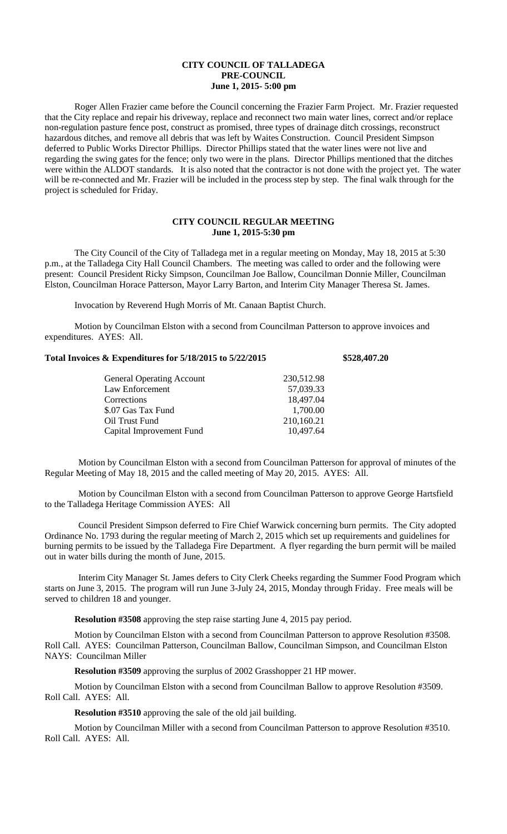## **CITY COUNCIL OF TALLADEGA PRE-COUNCIL June 1, 2015- 5:00 pm**

Roger Allen Frazier came before the Council concerning the Frazier Farm Project. Mr. Frazier requested that the City replace and repair his driveway, replace and reconnect two main water lines, correct and/or replace non-regulation pasture fence post, construct as promised, three types of drainage ditch crossings, reconstruct hazardous ditches, and remove all debris that was left by Waites Construction. Council President Simpson deferred to Public Works Director Phillips. Director Phillips stated that the water lines were not live and regarding the swing gates for the fence; only two were in the plans. Director Phillips mentioned that the ditches were within the ALDOT standards. It is also noted that the contractor is not done with the project yet. The water will be re-connected and Mr. Frazier will be included in the process step by step. The final walk through for the project is scheduled for Friday.

## **CITY COUNCIL REGULAR MEETING June 1, 2015-5:30 pm**

The City Council of the City of Talladega met in a regular meeting on Monday, May 18, 2015 at 5:30 p.m., at the Talladega City Hall Council Chambers. The meeting was called to order and the following were present: Council President Ricky Simpson, Councilman Joe Ballow, Councilman Donnie Miller, Councilman Elston, Councilman Horace Patterson, Mayor Larry Barton, and Interim City Manager Theresa St. James.

Invocation by Reverend Hugh Morris of Mt. Canaan Baptist Church.

Motion by Councilman Elston with a second from Councilman Patterson to approve invoices and expenditures. AYES: All.

## **Total Invoices & Expenditures for 5/18/2015 to 5/22/2015 \$528,407.20**

| 230,512.98 |
|------------|
| 57,039.33  |
| 18,497.04  |
| 1,700.00   |
| 210,160.21 |
| 10,497.64  |
|            |

Motion by Councilman Elston with a second from Councilman Patterson for approval of minutes of the Regular Meeting of May 18, 2015 and the called meeting of May 20, 2015. AYES: All.

Motion by Councilman Elston with a second from Councilman Patterson to approve George Hartsfield to the Talladega Heritage Commission AYES: All

Council President Simpson deferred to Fire Chief Warwick concerning burn permits. The City adopted Ordinance No. 1793 during the regular meeting of March 2, 2015 which set up requirements and guidelines for burning permits to be issued by the Talladega Fire Department. A flyer regarding the burn permit will be mailed out in water bills during the month of June, 2015.

Interim City Manager St. James defers to City Clerk Cheeks regarding the Summer Food Program which starts on June 3, 2015. The program will run June 3-July 24, 2015, Monday through Friday. Free meals will be served to children 18 and younger.

**Resolution #3508** approving the step raise starting June 4, 2015 pay period.

Motion by Councilman Elston with a second from Councilman Patterson to approve Resolution #3508. Roll Call. AYES: Councilman Patterson, Councilman Ballow, Councilman Simpson, and Councilman Elston NAYS: Councilman Miller

**Resolution #3509** approving the surplus of 2002 Grasshopper 21 HP mower.

Motion by Councilman Elston with a second from Councilman Ballow to approve Resolution #3509. Roll Call. AYES: All.

**Resolution #3510** approving the sale of the old jail building.

Motion by Councilman Miller with a second from Councilman Patterson to approve Resolution #3510. Roll Call. AYES: All.